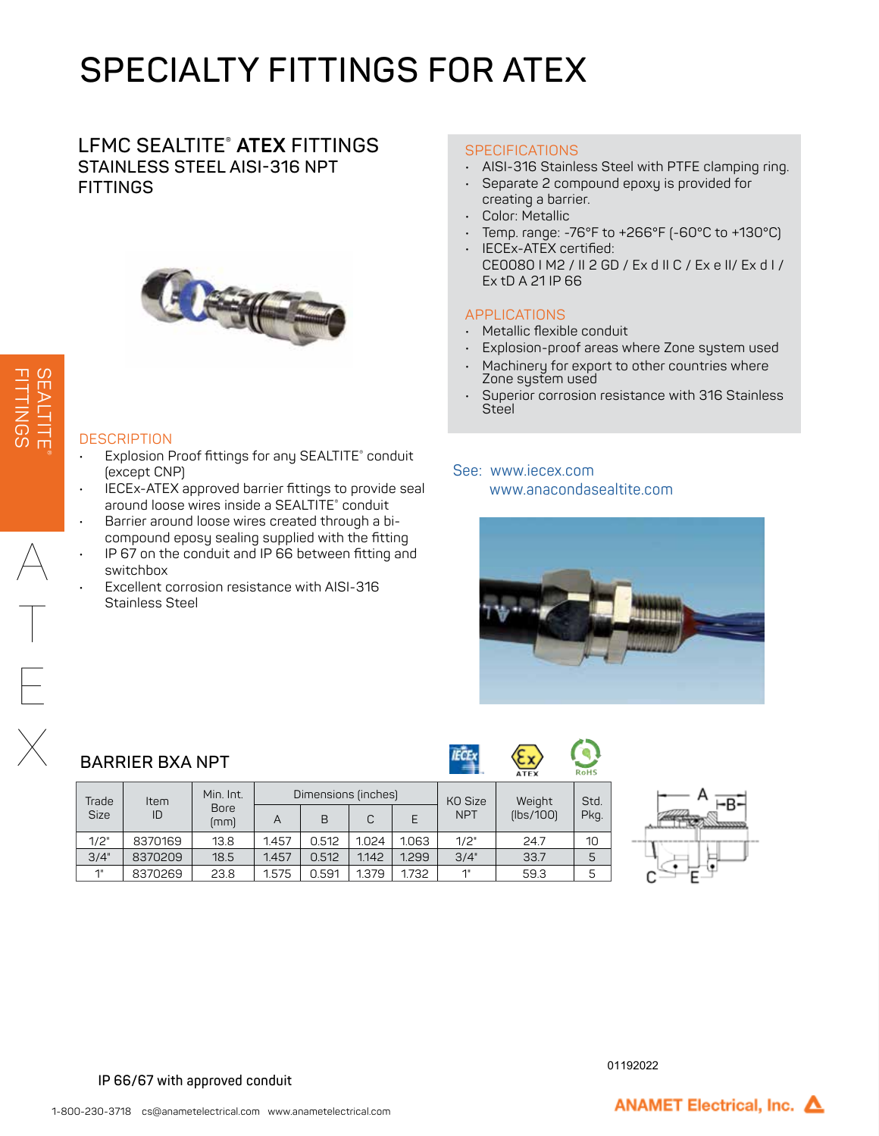# **SPECIALTY FITTINGS FOR ATEX**

### **LFMC SEALTITE® ATEX FITTINGS STAINLESS STEEL AISI-316 NPT FITTINGS**



### **DESCRIPTION**

- Explosion Proof fittings for any SEALTITE® conduit (except CNP)
- IECEx-ATEX approved barrier fittings to provide seal around loose wires inside a SEALTITE® conduit
- Barrier around loose wires created through a bicompound eposy sealing supplied with the fitting
- IP 67 on the conduit and IP 66 between fitting and switchbox
	- Excellent corrosion resistance with AISI-316 Stainless Steel

#### **SPECIFICATIONS**

- AISI-316 Stainless Steel with PTFE clamping ring.
- Separate 2 compound epoxy is provided for creating a barrier.
- Color: Metallic
- Temp. range: -76°F to +266°F (-60°C to +130°C)
- IECEx-ATEX certified: CE0080 I M2 / II 2 GD / Ex d II C / Ex e II/ Ex d I / Ex tD A 21 IP 66

### APPLICATIONS

- Metallic flexible conduit
- Explosion-proof areas where Zone system used
- Machinery for export to other countries where Zone system used
- Superior corrosion resistance with 316 Stainless **Steel**

### See: www.iecex.com www.anacondasealtite.com



SEALTITE® FITTINGS

### **BARRIER BXA NPT**

|                      |            |                     |                     |       |       |       | .          | <b>ATEX</b>        | <b>RoHS</b> |
|----------------------|------------|---------------------|---------------------|-------|-------|-------|------------|--------------------|-------------|
| Trade<br><b>Size</b> | Item<br>ID | Min. Int.           | Dimensions (inches) |       |       |       | KO Size    | Weight             | Std.        |
|                      |            | <b>Bore</b><br>(mm) | A                   | B     | C     |       | <b>NPT</b> | [ <b>lbs/100</b> ] | Pkq.        |
| 1/2"                 | 8370169    | 13.8                | 1.457               | 0.512 | 1.024 | 1.063 | 1/2"       | 24.7               | 10          |
| 3/4"                 | 8370209    | 18.5                | 1.457               | 0.512 | 1.142 | 1.299 | 3/4"       | 33.7               | 5           |
| 1"                   | 8370269    | 23.8                | 1.575               | 0.591 | 1.379 | 1.732 | 1"         | 59.3               | 5           |

**IECE**x



**IP 66/67 with approved conduit** 

ANAMET Electrical, Inc. A